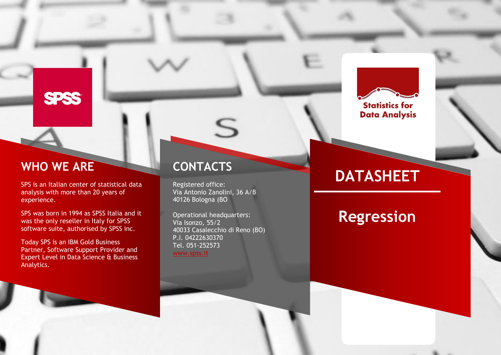# **SPSS**

# **WHO WE ARE**

SPS is an Italian center of statistical data analysis with more than 20 years of experience.

SPS was born in 1994 as SPSS Italia and it was the only reseller in Italy for SPSS software suite, authorised by SPSS inc.

Today SPS is an IBM Gold Business Partner , Software Support Provider and Expert Level in Data Science & Business Analytics.

# **CONTACTS**

Registered office: Via Antonio Zanolini, 36 A/B 40126 Bologna (BO

S

Operational headquarters : Via Isonzo, 55/2 40033 Casalecchio di Reno (BO) P.I. 04222630370 Tel. 051 -252573 [www.spss.it](http://www.spss.it/)

# **DATASHEET**

**Statistics for Data Analysis** 

**Regression**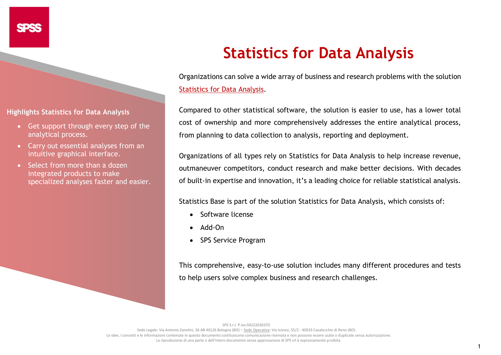**Highlights Statistics for Data Analysis**

- Get support through every step of the analytical process.
- Carry out essential analyses from an intuitive graphical interface.
- Select from more than a dozen integrated products to make specialized analyses faster and easier.

# **Statistics for Data Analysis**

Organizations can solve a wide array of business and research problems with the solution [Statistics for Data Analysis.](https://www.spss.it/statistics-for-data-analysis)

Compared to other statistical software, the solution is easier to use, has a lower total cost of ownership and more comprehensively addresses the entire analytical process, from planning to data collection to analysis, reporting and deployment.

Organizations of all types rely on Statistics for Data Analysis to help increase revenue, outmaneuver competitors, conduct research and make better decisions. With decades of built-in expertise and innovation, it's a leading choice for reliable statistical analysis.

Statistics Base is part of the solution [Statistics for Data Analysis,](https://www.spss.it/statistics-for-data-analysis) which consists of:

- Software license
- Add-On
- SPS Service Program

This comprehensive, easy-to-use solution includes many different procedures and tests to help users solve complex business and research challenges.

SPS S.r.l. P.iva 04222630370

Sede Legale: Via Antonio Zanolini, 36 AB 40126 Bologna (BO) – Sede Operativa: Via Isonzo, 55/2 - 40033 Casalecchio di Reno (BO) Le idee, i concetti e le informazioni contenute in questo documento costituiscono comunicazione riservata e non possono essere usate o duplicate senza autorizzazione La riproduzione di una parte o dell'intero documento senza approvazione di SPS srl è espressamente proibita.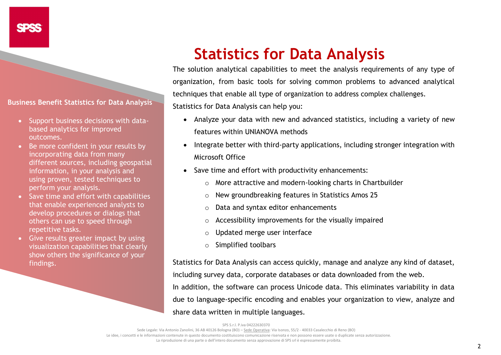**Business Benefit Statistics for Data Analysis**

- Support business decisions with databased analytics for improved outcomes.
- Be more confident in your results by incorporating data from many different sources, including geospatial information, in your analysis and using proven, tested techniques to perform your analysis.
- Save time and effort with capabilities that enable experienced analysts to develop procedures or dialogs that others can use to speed through repetitive tasks.
- Give results greater impact by using visualization capabilities that clearly show others the significance of your findings.

# **Statistics for Data Analysis**

The solution analytical capabilities to meet the analysis requirements of any type of organization, from basic tools for solving common problems to advanced analytical techniques that enable all type of organization to address complex challenges.

Statistics for Data Analysis can help you:

- Analyze your data with new and advanced statistics, including a variety of new features within UNIANOVA methods
- Integrate better with third-party applications, including stronger integration with Microsoft Office
- Save time and effort with productivity enhancements:
	- o More attractive and modern-looking charts in Chartbuilder
	- o New groundbreaking features in Statistics Amos 25
	- o Data and syntax editor enhancements
	- o Accessibility improvements for the visually impaired
	- o Updated merge user interface
	- o Simplified toolbars

Statistics for Data Analysis can access quickly, manage and analyze any kind of dataset,

including survey data, corporate databases or data downloaded from the web.

In addition, the software can process Unicode data. This eliminates variability in data due to language-specific encoding and enables your organization to view, analyze and share data written in multiple languages.

SPS S.r.l. P.iva 04222630370

Sede Legale: Via Antonio Zanolini, 36 AB 40126 Bologna (BO) – Sede Operativa: Via Isonzo, 55/2 - 40033 Casalecchio di Reno (BO) Le idee, i concetti e le informazioni contenute in questo documento costituiscono comunicazione riservata e non possono essere usate o duplicate senza autorizzazione. La riproduzione di una parte o dell'intero documento senza approvazione di SPS srl è espressamente proibita.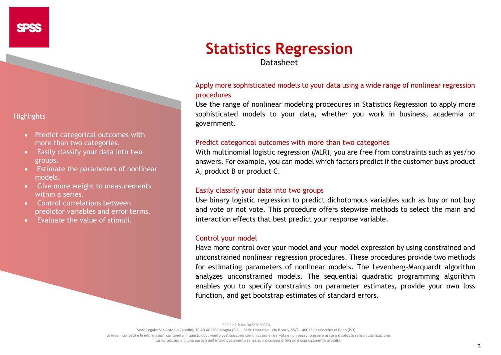# **Statistics Regression** Datasheet

# Apply more sophisticated models to your data using a wide range of nonlinear regression procedures

Use the range of nonlinear modeling procedures in Statistics Regression to apply more sophisticated models to your data, whether you work in business, academia or government.

# Predict categorical outcomes with more than two categories

With multinomial logistic regression (MLR), you are free from constraints such as yes/no answers. For example, you can model which factors predict if the customer buys product A, product B or product C.

# Easily classify your data into two groups

Use binary logistic regression to predict dichotomous variables such as buy or not buy and vote or not vote. This procedure offers stepwise methods to select the main and interaction effects that best predict your response variable.

# Control your model

Have more control over your model and your model expression by using constrained and unconstrained nonlinear regression procedures. These procedures provide two methods for estimating parameters of nonlinear models. The Levenberg-Marquardt algorithm analyzes unconstrained models. The sequential quadratic programming algorithm enables you to specify constraints on parameter estimates, provide your own loss function, and get bootstrap estimates of standard errors.

SPS S.r.l. P.iva 04222630370

Sede Legale: Via Antonio Zanolini, 36 AB 40126 Bologna (BO) – Sede Operativa: Via Isonzo, 55/2 - 40033 Casalecchio di Reno (BO) Le idee, i concetti e le informazioni contenute in questo documento costituiscono comunicazione riservata e non possono essere usate o duplicate senza autorizzazione

La riproduzione di una parte o dell'intero documento senza approvazione di SPS srl è espressamente proibita.

- Predict categorical outcomes with more than two categories.
- Easily classify your data into two groups.
- Estimate the parameters of nonlinear models.
- Give more weight to measurements within a series.
- Control correlations between predictor variables and error terms.
- Evaluate the value of stimuli.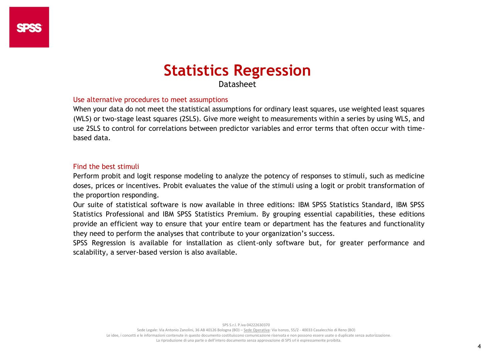# **Statistics Regression**

Datasheet

# Use alternative procedures to meet assumptions

When your data do not meet the statistical assumptions for ordinary least squares, use weighted least squares (WLS) or two-stage least squares (2SLS). Give more weight to measurements within a series by using WLS, and use 2SLS to control for correlations between predictor variables and error terms that often occur with timebased data.

# Find the best stimuli

Perform probit and logit response modeling to analyze the potency of responses to stimuli, such as medicine doses, prices or incentives. Probit evaluates the value of the stimuli using a logit or probit transformation of the proportion responding.

Our suite of statistical software is now available in three editions: IBM SPSS Statistics Standard, IBM SPSS Statistics Professional and IBM SPSS Statistics Premium. By grouping essential capabilities, these editions provide an efficient way to ensure that your entire team or department has the features and functionality they need to perform the analyses that contribute to your organization's success.

SPSS Regression is available for installation as client-only software but, for greater performance and scalability, a server-based version is also available.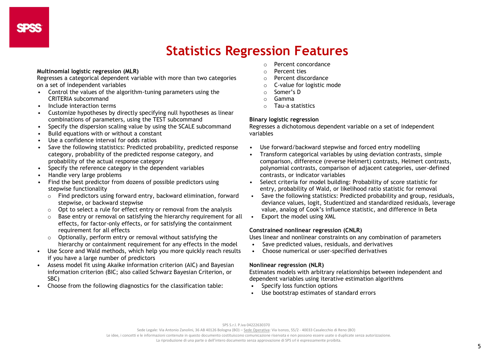# **Statistics Regression Features**

#### **Multinomial logistic regression (MLR)**

Regresses a categorical dependent variable with more than two categories on a set of independent variables

- Control the values of the algorithm-tuning parameters using the CRITERIA subcommand
- Include interaction terms
- Customize hypotheses by directly specifying null hypotheses as linear combinations of parameters, using the TEST subcommand
- Specify the dispersion scaling value by using the SCALE subcommand
- Build equations with or without a constant
- Use a confidence interval for odds ratios
- Save the following statistics: Predicted probability, predicted response category, probability of the predicted response category, and probability of the actual response category
- Specify the reference category in the dependent variables
- Handle very large problems
- Find the best predictor from dozens of possible predictors using stepwise functionality
	- o Find predictors using forward entry, backward elimination, forward stepwise, or backward stepwise
	- o Opt to select a rule for effect entry or removal from the analysis
	- o Base entry or removal on satisfying the hierarchy requirement for all effects, for factor-only effects, or for satisfying the containment requirement for all effects
	- $\circ$  Optionally, perform entry or removal without satisfying the hierarchy or containment requirement for any effects in the model
- Use Score and Wald methods, which help you more quickly reach results if you have a large number of predictors
- Assess model fit using Akaike information criterion (AIC) and Bayesian information criterion (BIC; also called Schwarz Bayesian Criterion, or SBC)
- Choose from the following diagnostics for the classification table:
- o Percent concordance
- o Percent ties
- o Percent discordance
- o C-value for logistic mode
- o Somer's D
- o Gamma
- o Tau-a statistics

#### **Binary logistic regression**

Regresses a dichotomous dependent variable on a set of independent variables

- Use forward/backward stepwise and forced entry modelling
- Transform categorical variables by using deviation contrasts, simple comparison, difference (reverse Helmert) contrasts, Helmert contrasts, polynomial contrasts, comparison of adjacent categories, user-defined contrasts, or indicator variables
- Select criteria for model building: Probability of score statistic for entry, probability of Wald, or likelihood ratio statistic for removal
- Save the following statistics: Predicted probability and group, residuals, deviance values, logit, Studentized and standardized residuals, leverage value, analog of Cook's influence statistic, and difference in Beta
- Export the model using XML

#### **Constrained nonlinear regression (CNLR)**

Uses linear and nonlinear constraints on any combination of parameters

- Save predicted values, residuals, and derivatives
- Choose numerical or user-specified derivatives

#### **Nonlinear regression (NLR)**

Estimates models with arbitrary relationships between independent and dependent variables using iterative estimation algorithms

- Specify loss function options
- Use bootstrap estimates of standard errors

Sede Legale: Via Antonio Zanolini, 36 AB 40126 Bologna (BO) – Sede Operativa: Via Isonzo, 55/2 - 40033 Casalecchio di Reno (BO)

Le idee, i concetti e le informazioni contenute in questo documento costituiscono comunicazione riservata e non possono essere usate o duplicate senza autorizzazione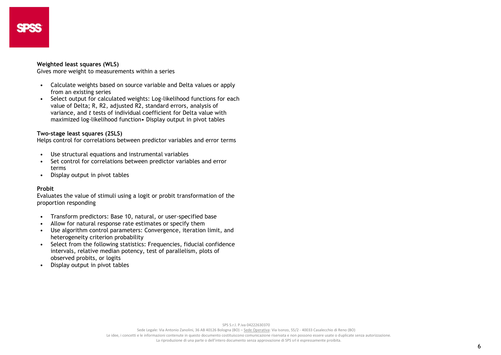#### **Weighted least squares (WLS)**

Gives more weight to measurements within a series

- Calculate weights based on source variable and Delta values or apply from an existing series
- Select output for calculated weights: Log-likelihood functions for each value of Delta; R, R2, adjusted R2, standard errors, analysis of variance, and *t* tests of individual coefficient for Delta value with maximized log-likelihood function• Display output in pivot tables

#### **Two-stage least squares (2SLS)**

Helps control for correlations between predictor variables and error terms

- Use structural equations and instrumental variables
- Set control for correlations between predictor variables and error terms
- Display output in pivot tables

#### **Probit**

Evaluates the value of stimuli using a logit or probit transformation of the proportion responding

- Transform predictors: Base 10, natural, or user-specified base
- Allow for natural response rate estimates or specify them
- Use algorithm control parameters: Convergence, iteration limit, and heterogeneity criterion probability
- Select from the following statistics: Frequencies, fiducial confidence intervals, relative median potency, test of parallelism, plots of observed probits, or logits
- Display output in pivot tables

SPS S.r.l. P.iva 04222630370

Sede Legale: Via Antonio Zanolini, 36 AB 40126 Bologna (BO) – Sede Operativa: Via Isonzo, 55/2 - 40033 Casalecchio di Reno (BO) Le idee, i concetti e le informazioni contenute in questo documento costituiscono comunicazione riservata e non possono essere usate o duplicate senza autorizzazione. La riproduzione di una parte o dell'intero documento senza approvazione di SPS srl è espressamente proibita.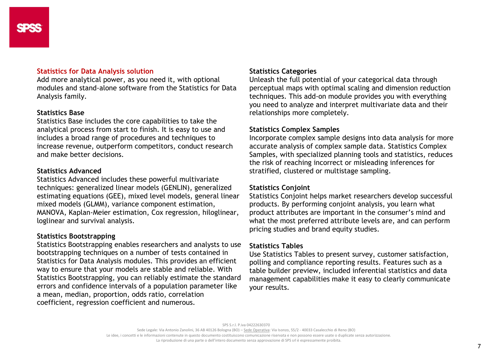### **Statistics for Data Analysis solution**

Add more analytical power, as you need it, with optional modules and stand-alone software from the Statistics for Data Analysis family.

## **Statistics Base**

Statistics Base includes the core capabilities to take the analytical process from start to finish. It is easy to use and includes a broad range of procedures and techniques to increase revenue, outperform competitors, conduct research and make better decisions.

# **Statistics Advanced**

Statistics Advanced includes these powerful multivariate techniques: generalized linear models (GENLIN), generalized estimating equations (GEE), mixed level models, general linear mixed models (GLMM), variance component estimation, MANOVA, Kaplan-Meier estimation, Cox regression, hiloglinear, loglinear and survival analysis.

# **Statistics Bootstrapping**

Statistics Bootstrapping enables researchers and analysts to use bootstrapping techniques on a number of tests contained in Statistics for Data Analysis modules. This provides an efficient way to ensure that your models are stable and reliable. With Statistics Bootstrapping, you can reliably estimate the standard errors and confidence intervals of a population parameter like a mean, median, proportion, odds ratio, correlation coefficient, regression coefficient and numerous.

# **Statistics Categories**

Unleash the full potential of your categorical data through perceptual maps with optimal scaling and dimension reduction techniques. This add-on module provides you with everything you need to analyze and interpret multivariate data and their relationships more completely.

# **Statistics Complex Samples**

Incorporate complex sample designs into data analysis for more accurate analysis of complex sample data. Statistics Complex Samples, with specialized planning tools and statistics, reduces the risk of reaching incorrect or misleading inferences for stratified, clustered or multistage sampling.

# **Statistics Conjoint**

Statistics Conjoint helps market researchers develop successful products. By performing conjoint analysis, you learn what product attributes are important in the consumer's mind and what the most preferred attribute levels are, and can perform pricing studies and brand equity studies.

# **Statistics Tables**

Use Statistics Tables to present survey, customer satisfaction, polling and compliance reporting results. Features such as a table builder preview, included inferential statistics and data management capabilities make it easy to clearly communicate your results.

Sede Legale: Via Antonio Zanolini, 36 AB 40126 Bologna (BO) – Sede Operativa: Via Isonzo, 55/2 - 40033 Casalecchio di Reno (BO) Le idee, i concetti e le informazioni contenute in questo documento costituiscono comunicazione riservata e non possono essere usate o duplicate senza autorizzazione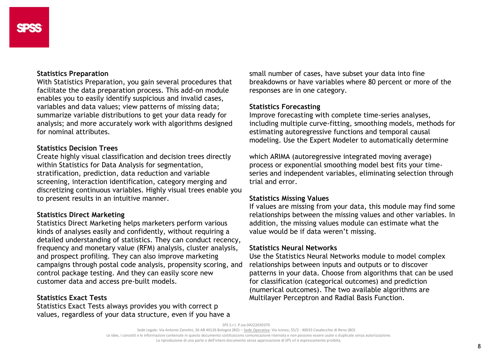### **Statistics Preparation**

With Statistics Preparation, you gain several procedures that facilitate the data preparation process. This add-on module enables you to easily identify suspicious and invalid cases, variables and data values; view patterns of missing data; summarize variable distributions to get your data ready for analysis; and more accurately work with algorithms designed for nominal attributes.

## **Statistics Decision Trees**

Create highly visual classification and decision trees directly within Statistics for Data Analysis for segmentation, stratification, prediction, data reduction and variable screening, interaction identification, category merging and discretizing continuous variables. Highly visual trees enable you to present results in an intuitive manner.

### **Statistics Direct Marketing**

Statistics Direct Marketing helps marketers perform various kinds of analyses easily and confidently, without requiring a detailed understanding of statistics. They can conduct recency, frequency and monetary value (RFM) analysis, cluster analysis, and prospect profiling. They can also improve marketing campaigns through postal code analysis, propensity scoring, and control package testing. And they can easily score new customer data and access pre-built models.

# **Statistics Exact Tests**

Statistics Exact Tests always provides you with correct p values, regardless of your data structure, even if you have a small number of cases, have subset your data into fine breakdowns or have variables where 80 percent or more of the responses are in one category.

# **Statistics Forecasting**

Improve forecasting with complete time-series analyses, including multiple curve-fitting, smoothing models, methods for estimating autoregressive functions and temporal causal modeling. Use the Expert Modeler to automatically determine

which ARIMA (autoregressive integrated moving average) process or exponential smoothing model best fits your timeseries and independent variables, eliminating selection through trial and error.

### **Statistics Missing Values**

If values are missing from your data, this module may find some relationships between the missing values and other variables. In addition, the missing values module can estimate what the value would be if data weren't missing.

#### **Statistics Neural Networks**

Use the Statistics Neural Networks module to model complex relationships between inputs and outputs or to discover patterns in your data. Choose from algorithms that can be used for classification (categorical outcomes) and prediction (numerical outcomes). The two available algorithms are Multilayer Perceptron and Radial Basis Function.

SPS S.r.l. P.iva 04222630370

Sede Legale: Via Antonio Zanolini, 36 AB 40126 Bologna (BO) – Sede Operativa: Via Isonzo, 55/2 - 40033 Casalecchio di Reno (BO)

Le idee, i concetti e le informazioni contenute in questo documento costituiscono comunicazione riservata e non possono essere usate o duplicate senza autorizzazione

La riproduzione di una parte o dell'intero documento senza approvazione di SPS srl è espressamente proibita.